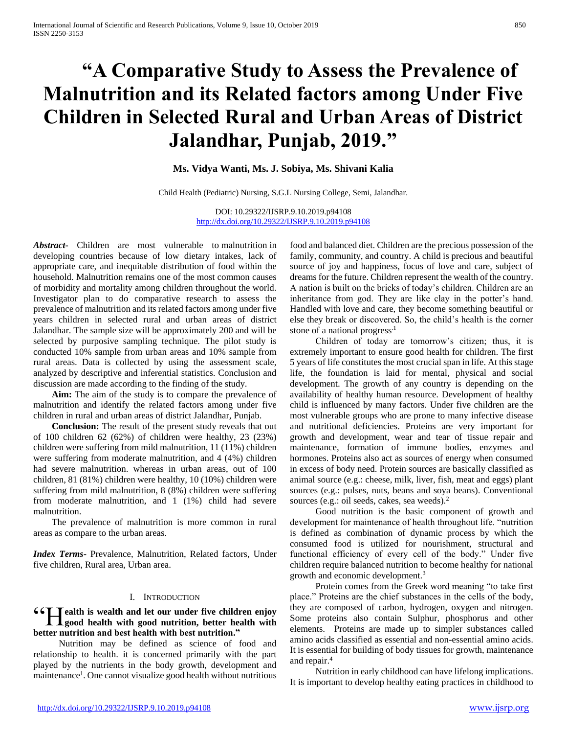# **"A Comparative Study to Assess the Prevalence of Malnutrition and its Related factors among Under Five Children in Selected Rural and Urban Areas of District Jalandhar, Punjab, 2019."**

### **Ms. Vidya Wanti, Ms. J. Sobiya, Ms. Shivani Kalia**

Child Health (Pediatric) Nursing, S.G.L Nursing College, Semi, Jalandhar.

DOI: 10.29322/IJSRP.9.10.2019.p94108 <http://dx.doi.org/10.29322/IJSRP.9.10.2019.p94108>

*Abstract***-** Children are most vulnerable to malnutrition in developing countries because of low dietary intakes, lack of appropriate care, and inequitable distribution of food within the household. Malnutrition remains one of the most common causes of morbidity and mortality among children throughout the world. Investigator plan to do comparative research to assess the prevalence of malnutrition and its related factors among under five years children in selected rural and urban areas of district Jalandhar. The sample size will be approximately 200 and will be selected by purposive sampling technique. The pilot study is conducted 10% sample from urban areas and 10% sample from rural areas. Data is collected by using the assessment scale, analyzed by descriptive and inferential statistics. Conclusion and discussion are made according to the finding of the study.

 **Aim:** The aim of the study is to compare the prevalence of malnutrition and identify the related factors among under five children in rural and urban areas of district Jalandhar, Punjab.

 **Conclusion:** The result of the present study reveals that out of 100 children 62 (62%) of children were healthy, 23 (23%) children were suffering from mild malnutrition, 11 (11%) children were suffering from moderate malnutrition, and 4 (4%) children had severe malnutrition. whereas in urban areas, out of 100 children, 81 (81%) children were healthy, 10 (10%) children were suffering from mild malnutrition, 8 (8%) children were suffering from moderate malnutrition, and 1 (1%) child had severe malnutrition.

The prevalence of malnutrition is more common in rural areas as compare to the urban areas.

*Index Terms*- Prevalence, Malnutrition, Related factors, Under five children, Rural area, Urban area.

#### I. INTRODUCTION

# **ealth is wealth and let our under five children enjoy 66 I alth is wealth and let our under five children enjoy**<br>good health with good nutrition, better health with **better nutrition and best health with best nutrition."**

 Nutrition may be defined as science of food and relationship to health. it is concerned primarily with the part played by the nutrients in the body growth, development and maintenance<sup>1</sup>. One cannot visualize good health without nutritious food and balanced diet. Children are the precious possession of the family, community, and country. A child is precious and beautiful source of joy and happiness, focus of love and care, subject of dreams for the future. Children represent the wealth of the country. A nation is built on the bricks of today's children. Children are an inheritance from god. They are like clay in the potter's hand. Handled with love and care, they become something beautiful or else they break or discovered. So, the child's health is the corner stone of a national progress.<sup>1</sup>

 Children of today are tomorrow's citizen; thus, it is extremely important to ensure good health for children. The first 5 years of life constitutes the most crucial span in life. At this stage life, the foundation is laid for mental, physical and social development. The growth of any country is depending on the availability of healthy human resource. Development of healthy child is influenced by many factors. Under five children are the most vulnerable groups who are prone to many infective disease and nutritional deficiencies. Proteins are very important for growth and development, wear and tear of tissue repair and maintenance, formation of immune bodies, enzymes and hormones. Proteins also act as sources of energy when consumed in excess of body need. Protein sources are basically classified as animal source (e.g.: cheese, milk, liver, fish, meat and eggs) plant sources (e.g.: pulses, nuts, beans and soya beans). Conventional sources (e.g.: oil seeds, cakes, sea weeds).<sup>2</sup>

 Good nutrition is the basic component of growth and development for maintenance of health throughout life. "nutrition is defined as combination of dynamic process by which the consumed food is utilized for nourishment, structural and functional efficiency of every cell of the body." Under five children require balanced nutrition to become healthy for national growth and economic development.<sup>3</sup>

 Protein comes from the Greek word meaning "to take first place." Proteins are the chief substances in the cells of the body, they are composed of carbon, hydrogen, oxygen and nitrogen. Some proteins also contain Sulphur, phosphorus and other elements. Proteins are made up to simpler substances called amino acids classified as essential and non-essential amino acids. It is essential for building of body tissues for growth, maintenance and repair.<sup>4</sup>

 Nutrition in early childhood can have lifelong implications. It is important to develop healthy eating practices in childhood to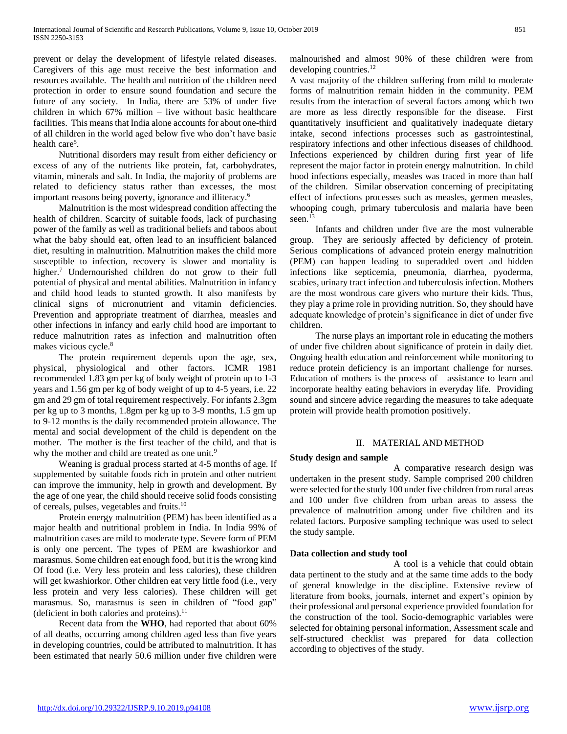prevent or delay the development of lifestyle related diseases. Caregivers of this age must receive the best information and resources available. The health and nutrition of the children need protection in order to ensure sound foundation and secure the future of any society. In India, there are 53% of under five children in which 67% million – live without basic healthcare facilities. This means that India alone accounts for about one-third of all children in the world aged below five who don't have basic health care<sup>5</sup>.

 Nutritional disorders may result from either deficiency or excess of any of the nutrients like protein, fat, carbohydrates, vitamin, minerals and salt. In India, the majority of problems are related to deficiency status rather than excesses, the most important reasons being poverty, ignorance and illiteracy.<sup>6</sup>

 Malnutrition is the most widespread condition affecting the health of children. Scarcity of suitable foods, lack of purchasing power of the family as well as traditional beliefs and taboos about what the baby should eat, often lead to an insufficient balanced diet, resulting in malnutrition. Malnutrition makes the child more susceptible to infection, recovery is slower and mortality is higher.<sup>7</sup> Undernourished children do not grow to their full potential of physical and mental abilities. Malnutrition in infancy and child hood leads to stunted growth. It also manifests by clinical signs of micronutrient and vitamin deficiencies. Prevention and appropriate treatment of diarrhea, measles and other infections in infancy and early child hood are important to reduce malnutrition rates as infection and malnutrition often makes vicious cycle.<sup>8</sup>

 The protein requirement depends upon the age, sex, physical, physiological and other factors. ICMR 1981 recommended 1.83 gm per kg of body weight of protein up to 1-3 years and 1.56 gm per kg of body weight of up to 4-5 years, i.e. 22 gm and 29 gm of total requirement respectively. For infants 2.3gm per kg up to 3 months, 1.8gm per kg up to 3-9 months, 1.5 gm up to 9-12 months is the daily recommended protein allowance. The mental and social development of the child is dependent on the mother. The mother is the first teacher of the child, and that is why the mother and child are treated as one unit.<sup>9</sup>

 Weaning is gradual process started at 4-5 months of age. If supplemented by suitable foods rich in protein and other nutrient can improve the immunity, help in growth and development. By the age of one year, the child should receive solid foods consisting of cereals, pulses, vegetables and fruits.<sup>10</sup>

 Protein energy malnutrition (PEM) has been identified as a major health and nutritional problem in India. In India 99% of malnutrition cases are mild to moderate type. Severe form of PEM is only one percent. The types of PEM are kwashiorkor and marasmus. Some children eat enough food, but it is the wrong kind Of food (i.e. Very less protein and less calories), these children will get kwashiorkor. Other children eat very little food (i.e., very less protein and very less calories). These children will get marasmus. So, marasmus is seen in children of "food gap" (deficient in both calories and proteins). $^{11}$ 

 Recent data from the **WHO**, had reported that about 60% of all deaths, occurring among children aged less than five years in developing countries, could be attributed to malnutrition. It has been estimated that nearly 50.6 million under five children were

malnourished and almost 90% of these children were from developing countries.<sup>12</sup>

A vast majority of the children suffering from mild to moderate forms of malnutrition remain hidden in the community. PEM results from the interaction of several factors among which two are more as less directly responsible for the disease. First quantitatively insufficient and qualitatively inadequate dietary intake, second infections processes such as gastrointestinal, respiratory infections and other infectious diseases of childhood. Infections experienced by children during first year of life represent the major factor in protein energy malnutrition. In child hood infections especially, measles was traced in more than half of the children. Similar observation concerning of precipitating effect of infections processes such as measles, germen measles, whooping cough, primary tuberculosis and malaria have been seen.<sup>13</sup>

 Infants and children under five are the most vulnerable group. They are seriously affected by deficiency of protein. Serious complications of advanced protein energy malnutrition (PEM) can happen leading to superadded overt and hidden infections like septicemia, pneumonia, diarrhea, pyoderma, scabies, urinary tract infection and tuberculosis infection. Mothers are the most wondrous care givers who nurture their kids. Thus, they play a prime role in providing nutrition. So, they should have adequate knowledge of protein's significance in diet of under five children.

 The nurse plays an important role in educating the mothers of under five children about significance of protein in daily diet. Ongoing health education and reinforcement while monitoring to reduce protein deficiency is an important challenge for nurses. Education of mothers is the process of assistance to learn and incorporate healthy eating behaviors in everyday life. Providing sound and sincere advice regarding the measures to take adequate protein will provide health promotion positively.

## II. MATERIAL AND METHOD

#### **Study design and sample**

 A comparative research design was undertaken in the present study. Sample comprised 200 children were selected for the study 100 under five children from rural areas and 100 under five children from urban areas to assess the prevalence of malnutrition among under five children and its related factors. Purposive sampling technique was used to select the study sample.

#### **Data collection and study tool**

 A tool is a vehicle that could obtain data pertinent to the study and at the same time adds to the body of general knowledge in the discipline. Extensive review of literature from books, journals, internet and expert's opinion by their professional and personal experience provided foundation for the construction of the tool. Socio-demographic variables were selected for obtaining personal information, Assessment scale and self-structured checklist was prepared for data collection according to objectives of the study.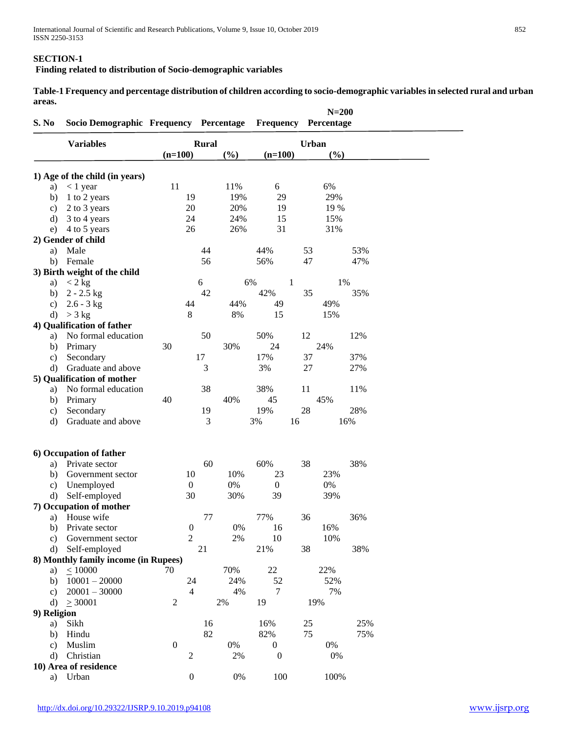#### **SECTION-1**

**Finding related to distribution of Socio-demographic variables** 

**Table-1 Frequency and percentage distribution of children according to socio-demographic variables in selected rural and urban areas.**

| S. No         | Socio Demographic Frequency Percentage |                  |                  |     | <b>Frequency Percentage</b> |              | $N=200$ |     |  |
|---------------|----------------------------------------|------------------|------------------|-----|-----------------------------|--------------|---------|-----|--|
|               | <b>Variables</b>                       |                  | <b>Rural</b>     |     |                             | <b>Urban</b> |         |     |  |
|               |                                        | $(n=100)$        |                  | (%) | $(n=100)$                   |              | (%)     |     |  |
|               |                                        |                  |                  |     |                             |              |         |     |  |
|               | 1) Age of the child (in years)         | 11               |                  | 11% | 6                           |              | 6%      |     |  |
| a)            | $< 1$ year                             |                  |                  | 19% |                             |              | 29%     |     |  |
| b)            | 1 to 2 years                           |                  | 19               |     | 29                          |              |         |     |  |
| $\mathbf{c})$ | 2 to 3 years                           |                  | 20               | 20% | 19                          |              | 19 %    |     |  |
| d)            | 3 to 4 years                           |                  | 24               | 24% | 15                          |              | 15%     |     |  |
| e)            | 4 to 5 years                           |                  | 26               | 26% | 31                          |              | 31%     |     |  |
|               | 2) Gender of child                     |                  |                  |     |                             |              |         |     |  |
| a)            | Male                                   |                  | 44               |     | 44%                         | 53           |         | 53% |  |
| b)            | Female                                 |                  | 56               |     | 56%                         | 47           |         | 47% |  |
|               | 3) Birth weight of the child           |                  |                  |     |                             |              |         |     |  |
| a)            | $< 2$ kg                               |                  | 6                |     | 6%                          | 1            | 1%      |     |  |
| b)            | $2 - 2.5$ kg                           |                  | 42               |     | 42%                         | 35           |         | 35% |  |
| $\mathbf{c})$ | $2.6 - 3$ kg                           |                  | 44               | 44% | 49                          |              | 49%     |     |  |
| d)            | $>$ 3 kg                               |                  | $\,8\,$          | 8%  | 15                          |              | 15%     |     |  |
|               | 4) Qualification of father             |                  |                  |     |                             |              |         |     |  |
| a)            | No formal education                    |                  | 50               |     | 50%                         | 12           |         | 12% |  |
| b)            | Primary                                | 30               |                  | 30% | 24                          |              | 24%     |     |  |
| $\mathbf{c})$ | Secondary                              |                  | 17               |     | 17%                         | 37           |         | 37% |  |
| d)            | Graduate and above                     |                  | 3                |     | 3%                          | 27           |         | 27% |  |
|               | 5) Qualification of mother             |                  |                  |     |                             |              |         |     |  |
| a)            | No formal education                    |                  | 38               |     | 38%                         | 11           |         | 11% |  |
| b)            | Primary                                | 40               |                  | 40% | 45                          |              | 45%     |     |  |
| $\mathbf{c})$ | Secondary                              |                  | 19               |     | 19%                         | 28           |         | 28% |  |
| d)            | Graduate and above                     |                  | 3                |     | 3%                          | 16           | 16%     |     |  |
|               |                                        |                  |                  |     |                             |              |         |     |  |
|               | 6) Occupation of father                |                  |                  |     |                             |              |         |     |  |
| a)            | Private sector                         |                  | 60               |     | 60%                         | 38           |         | 38% |  |
| b)            | Government sector                      |                  | 10               | 10% | 23                          |              | 23%     |     |  |
| $\mathbf{c})$ | Unemployed                             |                  | $\boldsymbol{0}$ | 0%  | $\overline{0}$              |              | 0%      |     |  |
|               |                                        |                  | 30               | 30% | 39                          |              | 39%     |     |  |
| d)            | Self-employed                          |                  |                  |     |                             |              |         |     |  |
|               | 7) Occupation of mother                |                  |                  |     |                             |              |         |     |  |
| a)            | House wife                             |                  | 77               |     | 77%                         | 36           |         | 36% |  |
| b)            | Private sector                         |                  | $\boldsymbol{0}$ | 0%  | 16                          |              | 16%     |     |  |
| $\mathbf{c})$ | Government sector                      |                  | $\overline{c}$   | 2%  | 10                          |              | 10%     |     |  |
| d)            | Self-employed                          |                  | 21               |     | 21%                         | 38           |         | 38% |  |
|               | 8) Monthly family income (in Rupees)   |                  |                  |     |                             |              |         |     |  |
| a)            | $\leq 10000$                           | 70               |                  | 70% | 22                          |              | 22%     |     |  |
| b)            | $10001 - 20000$                        |                  | 24               | 24% | 52                          |              | 52%     |     |  |
| $\mathbf{c}$  | $20001 - 30000$                        |                  | $\overline{4}$   | 4%  | 7                           |              | 7%      |     |  |
| $\rm d$       | > 30001                                | $\overline{c}$   |                  | 2%  | 19                          | 19%          |         |     |  |
| 9) Religion   |                                        |                  |                  |     |                             |              |         |     |  |
| a)            | Sikh                                   |                  | 16               |     | 16%                         | 25           |         | 25% |  |
| b)            | Hindu                                  |                  | 82               |     | 82%                         | 75           |         | 75% |  |
| $\mathbf{c})$ | Muslim                                 | $\boldsymbol{0}$ |                  | 0%  | $\boldsymbol{0}$            |              | 0%      |     |  |
| d)            | Christian                              |                  | $\overline{c}$   | 2%  | $\boldsymbol{0}$            |              | 0%      |     |  |
|               | 10) Area of residence                  |                  |                  |     |                             |              |         |     |  |
| a)            | Urban                                  |                  | $\boldsymbol{0}$ | 0%  | 100                         |              | 100%    |     |  |
|               |                                        |                  |                  |     |                             |              |         |     |  |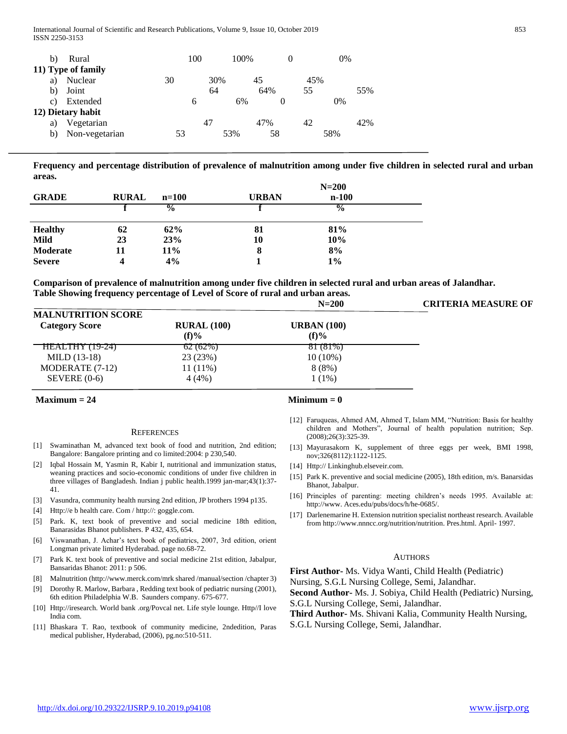| b) | Rural              |    | 100 | 100\% |     |     | 0%  |     |
|----|--------------------|----|-----|-------|-----|-----|-----|-----|
|    | 11) Type of family |    |     |       |     |     |     |     |
| a) | Nuclear            | 30 | 30% |       | 45  | 45% |     |     |
| b) | Joint              |    | 64  |       | 64% | 55  |     | 55% |
| C) | Extended           |    | 6   | 6%    | 0   |     | 0%  |     |
|    | 12) Dietary habit  |    |     |       |     |     |     |     |
| a) | Vegetarian         |    | 47  |       | 47% | 42  |     | 42% |
| b) | Non-vegetarian     | 53 |     | 53%   | 58  |     | 58% |     |

**Frequency and percentage distribution of prevalence of malnutrition among under five children in selected rural and urban areas.**

|                |              |               | $N=200$      |               |  |  |
|----------------|--------------|---------------|--------------|---------------|--|--|
| <b>GRADE</b>   | <b>RURAL</b> | $n = 100$     | <b>URBAN</b> | $n-100$       |  |  |
|                |              | $\frac{6}{9}$ |              | $\frac{0}{0}$ |  |  |
|                |              |               |              |               |  |  |
| <b>Healthy</b> | 62           | 62%           | 81           | 81%           |  |  |
| Mild           | 23           | 23%           | 10           | 10%           |  |  |
| Moderate       | 11           | <b>11%</b>    | O            | 8%            |  |  |
| <b>Severe</b>  |              | 4%            |              | $1\%$         |  |  |

**Comparison of prevalence of malnutrition among under five children in selected rural and urban areas of Jalandhar. Table Showing frequency percentage of Level of Score of rural and urban areas.**

|                           |                    | $N = 200$          | <b>CRITERIA MEASURE OF</b> |
|---------------------------|--------------------|--------------------|----------------------------|
| <b>MALNUTRITION SCORE</b> |                    |                    |                            |
| <b>Category Score</b>     | <b>RURAL</b> (100) | <b>URBAN</b> (100) |                            |
|                           | $(f)$ %            | $(f)$ %            |                            |
| <u> HEALTHY (19-24)</u>   | 62(62%)            | 81(81%)            |                            |
| $MILD(13-18)$             | 23 (23%)           | $10(10\%)$         |                            |
| MODERATE (7-12)           | $11(11\%)$         | 8(8%)              |                            |
| SEVERE $(0-6)$            | 4 (4%)             | $1(1\%)$           |                            |

#### **Minimum = 0**

#### **REFERENCES**

- [1] Swaminathan M, advanced text book of food and nutrition, 2nd edition; Bangalore: Bangalore printing and co limited:2004: p 230,540.
- [2] Iqbal Hossain M, Yasmin R, Kabir I, nutritional and immunization status, weaning practices and socio-economic conditions of under five children in three villages of Bangladesh. Indian j public health.1999 jan-mar;43(1):37- 41.
- [3] Vasundra, community health nursing 2nd edition, JP brothers 1994 p135.
- [4] Http://e b health care. Com / http://: goggle.com.
- [5] Park. K, text book of preventive and social medicine 18th edition, Banarasidas Bhanot publishers. P 432, 435, 654.
- [6] Viswanathan, J. Achar's text book of pediatrics, 2007, 3rd edition, orient Longman private limited Hyderabad. page no.68-72.
- [7] Park K. text book of preventive and social medicine 21st edition, Jabalpur, Bansaridas Bhanot: 2011: p 506.
- [8] Malnutrition (http://www.merck.com/mrk shared /manual/section /chapter 3)
- [9] Dorothy R. Marlow, Barbara , Redding text book of pediatric nursing (2001), 6th edition Philadelphia W.B. Saunders company. 675-677.
- [10] Http://iresearch. World bank .org/Povcal net. Life style lounge. Http//I love India com.
- [11] Bhaskara T. Rao, textbook of community medicine, 2ndedition, Paras medical publisher, Hyderabad, (2006), pg.no:510-511.

- [12] Faruqueas, Ahmed AM, Ahmed T, Islam MM, "Nutrition: Basis for healthy children and Mothers", Journal of health population nutrition; Sep. (2008);26(3):325-39.
- [13] Mayurasakorn K, supplement of three eggs per week, BMI 1998, nov;326(8112):1122-1125.
- [14] Http:// Linkinghub.elseveir.com.
- [15] Park K. preventive and social medicine (2005), 18th edition, m/s. Banarsidas Bhanot, Jabalpur.
- [16] Principles of parenting: meeting children's needs 1995. Available at: http://www. Aces.edu/pubs/docs/h/he-0685/.
- [17] Darlenemarine H. Extension nutrition specialist northeast research. Available from http://www.nnncc.org/nutrition/nutrition. Pres.html. April- 1997.

#### AUTHORS

**First Author-** Ms. Vidya Wanti, Child Health (Pediatric) Nursing, S.G.L Nursing College, Semi, Jalandhar. **Second Author-** Ms. J. Sobiya, Child Health (Pediatric) Nursing,

S.G.L Nursing College, Semi, Jalandhar.

**Third Author-** Ms. Shivani Kalia, Community Health Nursing, S.G.L Nursing College, Semi, Jalandhar.